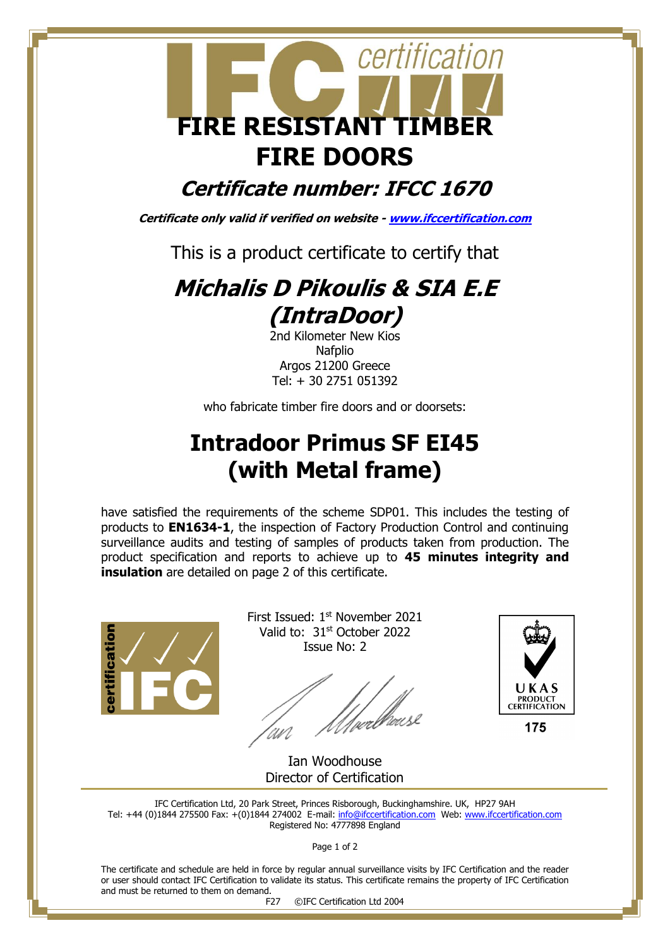

## **Certificate number: IFCC 1670**

**Certificate only valid if verified on website - [www.ifccertification.com](http://www.ifccertification.com/)**

This is a product certificate to certify that

## **Michalis D Pikoulis & SIA E.E (IntraDoor)**

2nd Kilometer New Kios Nafplio Argos 21200 Greece Tel: + 30 2751 051392

who fabricate timber fire doors and or doorsets:

## **Intradoor Primus SF EI45 (with Metal frame)**

have satisfied the requirements of the scheme SDP01. This includes the testing of products to **EN1634-1**, the inspection of Factory Production Control and continuing surveillance audits and testing of samples of products taken from production. The product specification and reports to achieve up to **45 minutes integrity and insulation** are detailed on page 2 of this certificate.



First Issued: 1st November 2021 Valid to: 31st October 2022 Issue No: 2

'|<br>welleus



Ian Woodhouse Director of Certification

IFC Certification Ltd, 20 Park Street, Princes Risborough, Buckinghamshire. UK, HP27 9AH Tel: +44 (0)1844 275500 Fax: +(0)1844 274002 E-mail[: info@ifccertification.com](mailto:info@ifccertification.com) Web: [www.ifccertification.com](http://www.ifccertification.com/) Registered No: 4777898 England

Page 1 of 2

The certificate and schedule are held in force by regular annual surveillance visits by IFC Certification and the reader or user should contact IFC Certification to validate its status. This certificate remains the property of IFC Certification and must be returned to them on demand.

F27 ©IFC Certification Ltd 2004